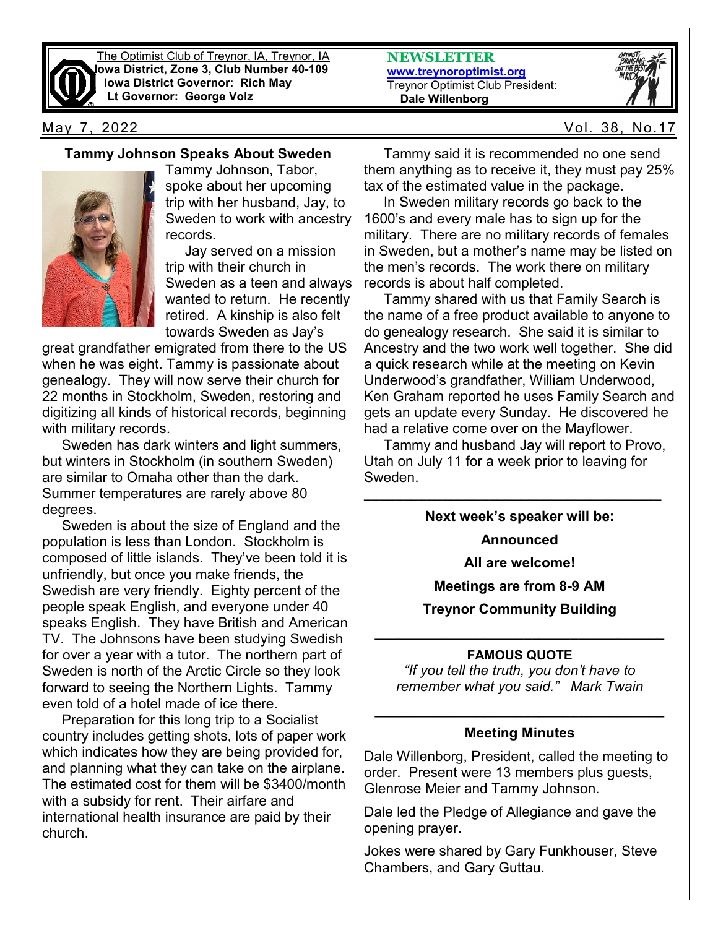

The Optimist Club of Treynor, IA, Treynor, IA **Iowa District, Zone 3, Club Number 40-109 Iowa District Governor: Rich May Lt Governor: George Volz**

**NEWSLETTER [www.treynoroptimist.org](http://www.treynoroptimist.org/)** Treynor Optimist Club President:  **Dale Willenborg**



May 7, 2022 Vol. 38, No.17

### **Tammy Johnson Speaks About Sweden**



Tammy Johnson, Tabor, spoke about her upcoming trip with her husband, Jay, to Sweden to work with ancestry records.

 Jay served on a mission trip with their church in Sweden as a teen and always wanted to return. He recently retired. A kinship is also felt towards Sweden as Jay's

great grandfather emigrated from there to the US when he was eight. Tammy is passionate about genealogy. They will now serve their church for 22 months in Stockholm, Sweden, restoring and digitizing all kinds of historical records, beginning with military records.

 Sweden has dark winters and light summers, but winters in Stockholm (in southern Sweden) are similar to Omaha other than the dark. Summer temperatures are rarely above 80 degrees.

 Sweden is about the size of England and the population is less than London. Stockholm is composed of little islands. They've been told it is unfriendly, but once you make friends, the Swedish are very friendly. Eighty percent of the people speak English, and everyone under 40 speaks English. They have British and American TV. The Johnsons have been studying Swedish for over a year with a tutor. The northern part of Sweden is north of the Arctic Circle so they look forward to seeing the Northern Lights. Tammy even told of a hotel made of ice there.

 Preparation for this long trip to a Socialist country includes getting shots, lots of paper work which indicates how they are being provided for, and planning what they can take on the airplane. The estimated cost for them will be \$3400/month with a subsidy for rent. Their airfare and international health insurance are paid by their church.

 Tammy said it is recommended no one send them anything as to receive it, they must pay 25% tax of the estimated value in the package.

 In Sweden military records go back to the 1600's and every male has to sign up for the military. There are no military records of females in Sweden, but a mother's name may be listed on the men's records. The work there on military records is about half completed.

 Tammy shared with us that Family Search is the name of a free product available to anyone to do genealogy research. She said it is similar to Ancestry and the two work well together. She did a quick research while at the meeting on Kevin Underwood's grandfather, William Underwood, Ken Graham reported he uses Family Search and gets an update every Sunday. He discovered he had a relative come over on the Mayflower.

 Tammy and husband Jay will report to Provo, Utah on July 11 for a week prior to leaving for Sweden.

**\_\_\_\_\_\_\_\_\_\_\_\_\_\_\_\_\_\_\_\_\_\_\_\_\_\_\_\_\_\_\_\_\_\_\_\_\_\_**

**Next week's speaker will be:**

**Announced** 

**All are welcome!**

**Meetings are from 8-9 AM**

**Treynor Community Building**

## **\_\_\_\_\_\_\_\_\_\_\_\_\_\_\_\_\_\_\_\_\_\_\_\_\_\_\_\_\_\_\_\_\_\_\_\_\_ FAMOUS QUOTE**

*"If you tell the truth, you don't have to remember what you said." Mark Twain*

# **\_\_\_\_\_\_\_\_\_\_\_\_\_\_\_\_\_\_\_\_\_\_\_\_\_\_\_\_\_\_\_\_\_\_\_\_\_ Meeting Minutes**

Dale Willenborg, President, called the meeting to order. Present were 13 members plus guests, Glenrose Meier and Tammy Johnson.

Dale led the Pledge of Allegiance and gave the opening prayer.

Jokes were shared by Gary Funkhouser, Steve Chambers, and Gary Guttau.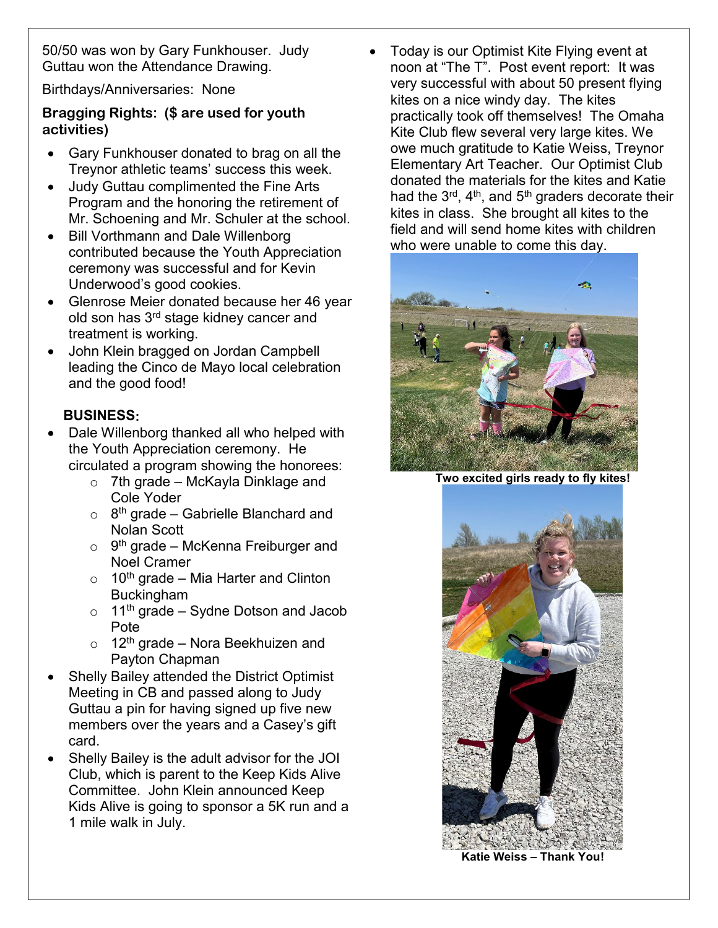50/50 was won by Gary Funkhouser. Judy Guttau won the Attendance Drawing.

Birthdays/Anniversaries: None

## **Bragging Rights: (\$ are used for youth activities)**

- Gary Funkhouser donated to brag on all the Treynor athletic teams' success this week.
- Judy Guttau complimented the Fine Arts Program and the honoring the retirement of Mr. Schoening and Mr. Schuler at the school.
- Bill Vorthmann and Dale Willenborg contributed because the Youth Appreciation ceremony was successful and for Kevin Underwood's good cookies.
- Glenrose Meier donated because her 46 year old son has 3rd stage kidney cancer and treatment is working.
- John Klein bragged on Jordan Campbell leading the Cinco de Mayo local celebration and the good food!

## **BUSINESS:**

- Dale Willenborg thanked all who helped with the Youth Appreciation ceremony. He circulated a program showing the honorees:
	- $\circ$  7th grade McKayla Dinklage and Cole Yoder
	- $\circ$  8<sup>th</sup> grade Gabrielle Blanchard and Nolan Scott
	- $\circ$  9<sup>th</sup> grade McKenna Freiburger and Noel Cramer
	- $\circ$  10<sup>th</sup> grade Mia Harter and Clinton Buckingham
	- $\circ$  11<sup>th</sup> grade Sydne Dotson and Jacob Pote
	- $\circ$  12<sup>th</sup> grade Nora Beekhuizen and Payton Chapman
- Shelly Bailey attended the District Optimist Meeting in CB and passed along to Judy Guttau a pin for having signed up five new members over the years and a Casey's gift card.
- Shelly Bailey is the adult advisor for the JOI Club, which is parent to the Keep Kids Alive Committee. John Klein announced Keep Kids Alive is going to sponsor a 5K run and a 1 mile walk in July.

• Today is our Optimist Kite Flying event at noon at "The T". Post event report: It was very successful with about 50 present flying kites on a nice windy day. The kites practically took off themselves! The Omaha Kite Club flew several very large kites. We owe much gratitude to Katie Weiss, Treynor Elementary Art Teacher. Our Optimist Club donated the materials for the kites and Katie had the  $3^{\text{rd}}$ , 4<sup>th</sup>, and  $5^{\text{th}}$  graders decorate their kites in class. She brought all kites to the field and will send home kites with children who were unable to come this day.



**Two excited girls ready to fly kites!**



**Katie Weiss – Thank You!**